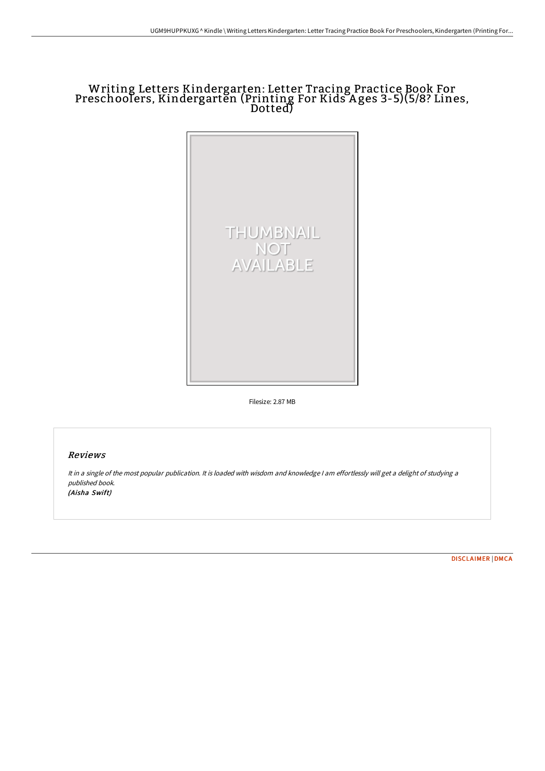## Writing Letters Kindergarten: Letter Tracing Practice Book For Preschoolers, Kindergarten (Printing For Kids A ges 3-5)(5/8? Lines, Dotted)



Filesize: 2.87 MB

## Reviews

It in <sup>a</sup> single of the most popular publication. It is loaded with wisdom and knowledge <sup>I</sup> am effortlessly will get <sup>a</sup> delight of studying <sup>a</sup> published book. (Aisha Swift)

[DISCLAIMER](http://techno-pub.tech/disclaimer.html) | [DMCA](http://techno-pub.tech/dmca.html)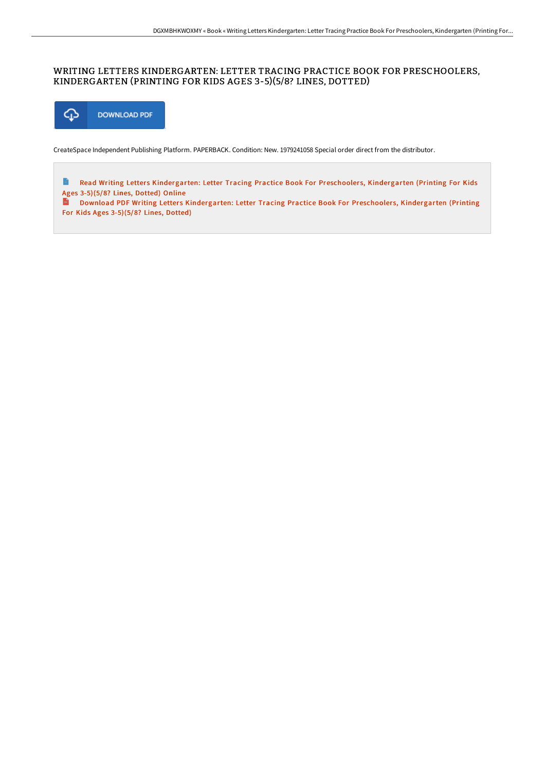## WRITING LETTERS KINDERGARTEN: LETTER TRACING PRACTICE BOOK FOR PRESCHOOLERS, KINDERGARTEN (PRINTING FOR KIDS AGES 3-5)(5/8? LINES, DOTTED)



For Kids Ages 3-5)(5/8? Lines, Dotted)

CreateSpace Independent Publishing Platform. PAPERBACK. Condition: New. 1979241058 Special order direct from the distributor.

Read Writing Letters [Kindergarten:](http://techno-pub.tech/writing-letters-kindergarten-letter-tracing-prac.html) Letter Tracing Practice Book For Preschoolers, Kindergarten (Printing For Kids E Ages 3-5)(5/8? Lines, Dotted) Online<br> **Download DDE Welter** Download PDF Writing Letters [Kindergarten:](http://techno-pub.tech/writing-letters-kindergarten-letter-tracing-prac.html) Letter Tracing Practice Book For Preschoolers, Kindergarten (Printing